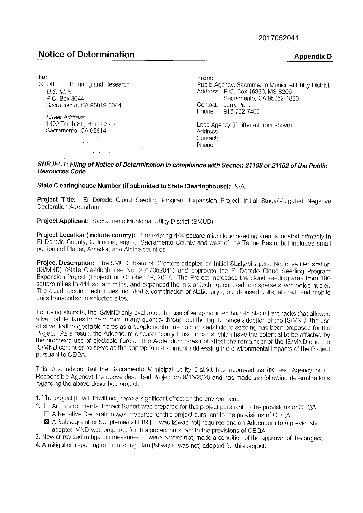# 2017052041

# **Notice of Determination**

## **Appendix D**

**To:**  ⊠ Office of Planning and Research U.S. Mail: P 0. Box 3044 Sacramento, CA 95812-3044

Street Address: 1400 Tenth St., Rm  $113 - 1$ Sacramento, CA 95814

 $\alpha_{\rm F}$  , the  $\alpha_{\rm F}$ 

#### **From:**

Public Agency: Sacramento Municipal Utility District Address: P.O. Box 15830, MS B209 Sacramento, CA 95852-1830 Contact: Jerry Park<br>Phone: 916-732-74 916-732-7406

Lead Agency (if different from above): Address: Contact: Phone:

## **SUBJECT: Filing of Notice of Determination in compliance with Section 21108 or 21152 of the Public Resources Code.**

# **State Clearinghouse Number (if submitted to State Clearinghouse):** N/A

**Project Title:** El Dorado Cloud Seeding Program Expansion Project Initial Study/Mitigated Negative Declaration Addendum

#### **Project Applicant:** Sacramento Municipal Utility District (SMUD)

**Project Location (include county):** The existing 444-square-mile cloud seeding area is located primarily in El Dorado County. California. east of Sacramento County and west of the Tahoe Basin, but includes small portions of Placer, Amador, and Alpine counties.

**Project Description:** The SMUD Board of Directors adopted an Initial Study/Mitigated Negative Declaration (IS/MND) (State Clearinghouse No. 2017052041) and approved the El Dorado Cloud Seeding Program Expansion Project (Project) on October 19, 2017. The Project increased the cloud seeding area from 190 square miles to 444 square miles, and expanded the mix of techniques used to disperse silver iodide nuclei. The cloud seeding techniques included a combination of stationary ground-based units, aircraft, and mobile units transported to selected sites.

For using aircrafts, the IS/MND only evaluated the use of wing-mounted burn-in-place flare racks that allowed silver iodide flares to be burned in any quantity throughout the flight. Since adoption of the IS/MND, the use of silver iodide ejectable flares as a supplemental method for aerial cloud seeding has been proposed for **the**  Project. As a result, the Addendum discusses only those impacts which have the potential to be affected by the proposed use of ejectable flares. The Addendum does not affect the remainder of the IS/MND and the IS/MND continues to serve as the appropriate document addressing the environmental impacts of the Project pursuant to CEQA.

This is to advise that the Sacramento Municipal Utility District has approved as ( $\boxtimes$  Lead Agency or  $\Box$ Responsible Agency) the above described Project on 9/15/2020 and has made the following determinations regarding the above described project.

1. The project [ $\square$ will  $\square$ will not] have a significant effect on the environment.

- 2. □ An Environmental Impact Report was prepared for this project pursuant to the provisions of CEQA.
	- □ A Negative Declaration was prepared for this project pursuant to the provisions of CEQA.
	- ⊠ A Subsequent or Supplemental EIR [  $\square$ was  $\square$ was not] required and an Addendum to a previously adopted MND was prepared for this project pursuant to the provisions of CEOA. ........

3. New or revised mitigation measures [Ciwere Xiwere not] made a condition of the approval of the project.

4. A mitigation reporting or monitoring plan  $[ $\boxtimes$  was  $\square$  was not l adopted for this project.$